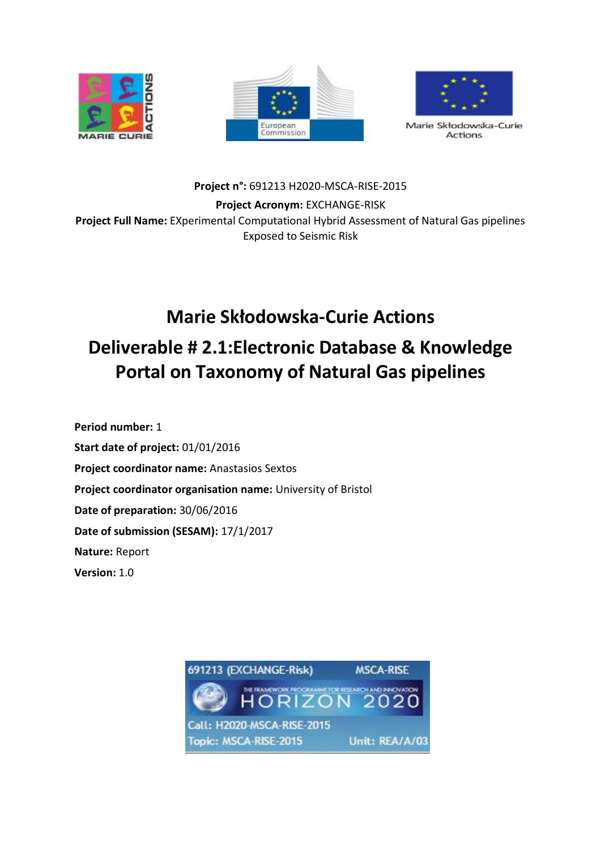





**Project n°:** 691213 H2020-MSCA-RISE-2015

**Project Acronym:** EXCHANGE-RISK **Project Full Name:** EXperimental Computational Hybrid Assessment of Natural Gas pipelines Exposed to Seismic Risk

# **Marie Skłodowska-Curie Actions Deliverable # 2.1:Electronic Database & Knowledge Portal on Taxonomy of Natural Gas pipelines**

**Period number:** 1 **Start date of project:** 01/01/2016 **Project coordinator name:** Anastasios Sextos **Project coordinator organisation name:** University of Bristol **Date of preparation:** 30/06/2016 **Date of submission (SESAM):** 17/1/2017 **Nature:** Report **Version:** 1.0

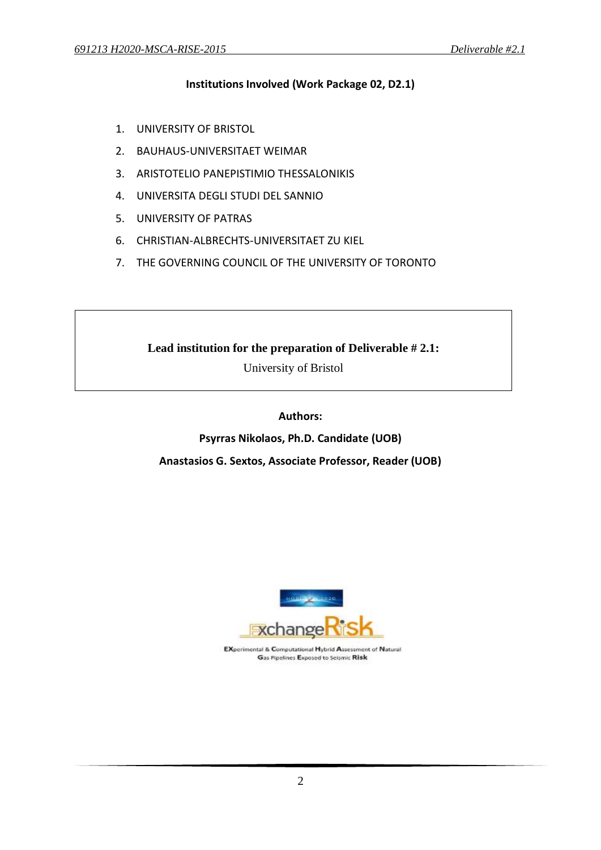### **Institutions Involved (Work Package 02, D2.1)**

- 1. UNIVERSITY OF BRISTOL
- 2. BAUHAUS-UNIVERSITAET WEIMAR
- 3. ARISTOTELIO PANEPISTIMIO THESSALONIKIS
- 4. UNIVERSITA DEGLI STUDI DEL SANNIO
- 5. UNIVERSITY OF PATRAS
- 6. CHRISTIAN-ALBRECHTS-UNIVERSITAET ZU KIEL
- 7. THE GOVERNING COUNCIL OF THE UNIVERSITY OF TORONTO

**Lead institution for the preparation of Deliverable # 2.1:**

University of Bristol

## **Authors:**

# **Psyrras Nikolaos, Ph.D. Candidate (UOB)**

## **Anastasios G. Sextos, Associate Professor, Reader (UOB)**



EXperimental & Computational Hybrid Assessment of Natural Gas Pipelines Exposed to Seismic Risk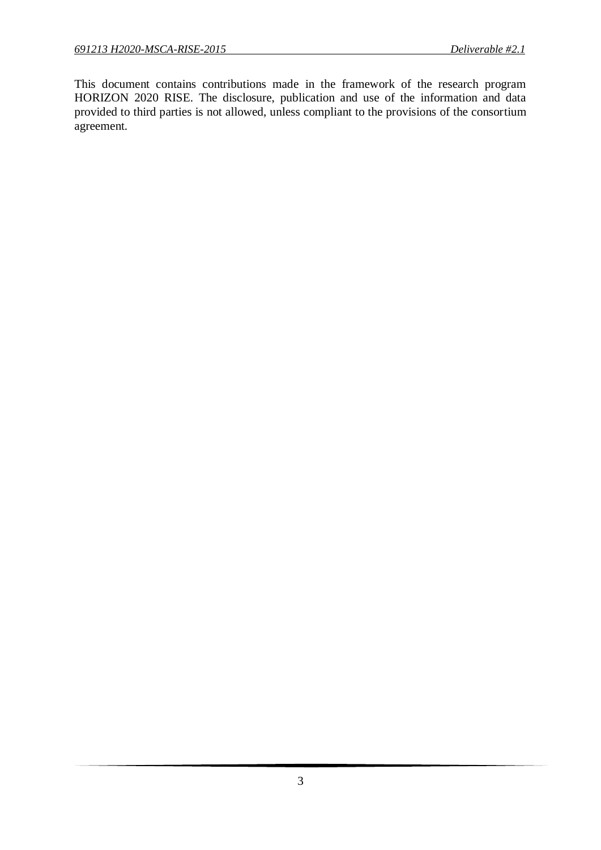This document contains contributions made in the framework of the research program HORIZON 2020 RISE. The disclosure, publication and use of the information and data provided to third parties is not allowed, unless compliant to the provisions of the consortium agreement.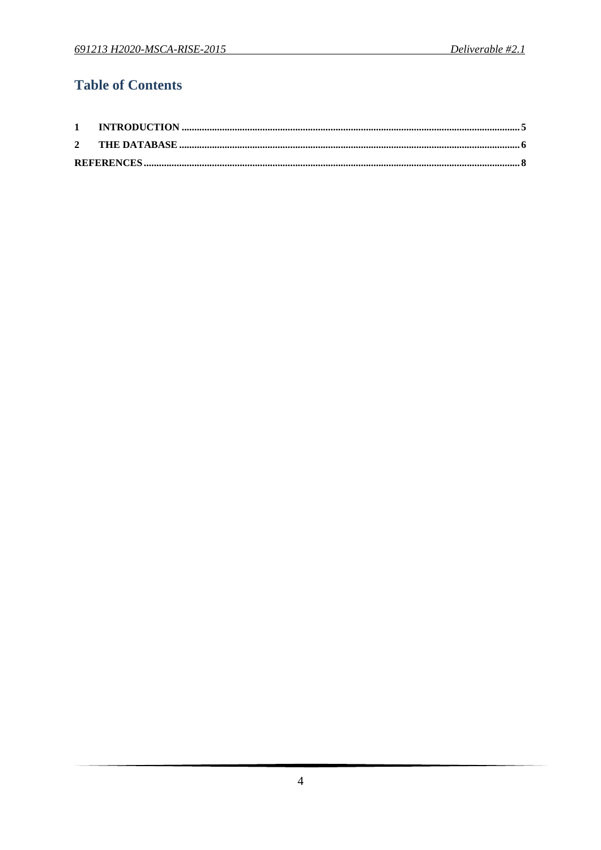# **Table of Contents**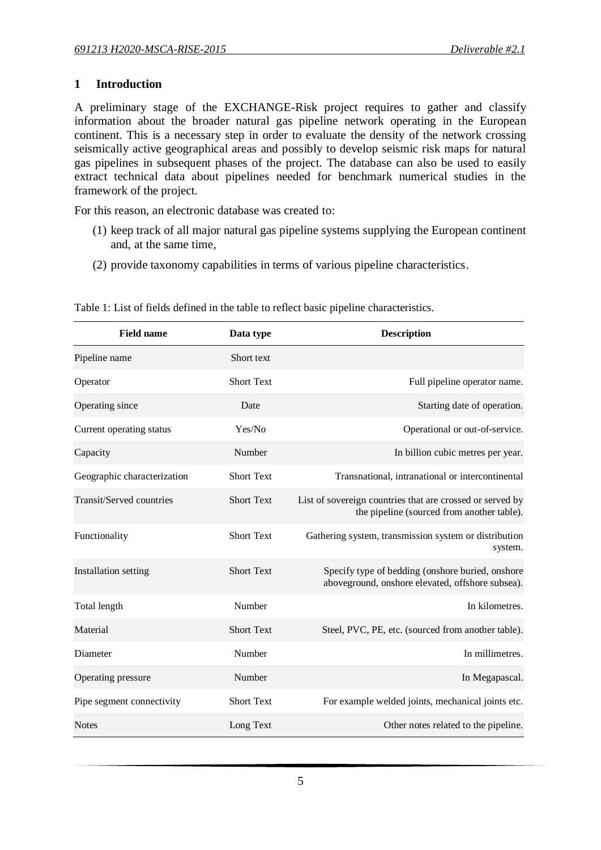#### <span id="page-4-0"></span>**1 Introduction**

A preliminary stage of the EXCHANGE-Risk project requires to gather and classify information about the broader natural gas pipeline network operating in the European continent. This is a necessary step in order to evaluate the density of the network crossing seismically active geographical areas and possibly to develop seismic risk maps for natural gas pipelines in subsequent phases of the project. The database can also be used to easily extract technical data about pipelines needed for benchmark numerical studies in the framework of the project.

For this reason, an electronic database was created to:

- (1) keep track of all major natural gas pipeline systems supplying the European continent and, at the same time,
- (2) provide taxonomy capabilities in terms of various pipeline characteristics.

| <b>Field name</b>           | Data type         | <b>Description</b>                                                                                      |
|-----------------------------|-------------------|---------------------------------------------------------------------------------------------------------|
| Pipeline name               | Short text        |                                                                                                         |
| Operator                    | <b>Short Text</b> | Full pipeline operator name.                                                                            |
| Operating since             | Date              | Starting date of operation.                                                                             |
| Current operating status    | Yes/No            | Operational or out-of-service.                                                                          |
| Capacity                    | Number            | In billion cubic metres per year.                                                                       |
| Geographic characterization | <b>Short Text</b> | Transnational, intranational or intercontinental                                                        |
| Transit/Served countries    | <b>Short Text</b> | List of sovereign countries that are crossed or served by<br>the pipeline (sourced from another table). |
| Functionality               | <b>Short Text</b> | Gathering system, transmission system or distribution<br>system.                                        |
| Installation setting        | <b>Short Text</b> | Specify type of bedding (onshore buried, onshore<br>aboveground, onshore elevated, offshore subsea).    |
| Total length                | Number            | In kilometres.                                                                                          |
| Material                    | <b>Short Text</b> | Steel, PVC, PE, etc. (sourced from another table).                                                      |
| Diameter                    | Number            | In millimetres.                                                                                         |
| Operating pressure          | Number            | In Megapascal.                                                                                          |
| Pipe segment connectivity   | <b>Short Text</b> | For example welded joints, mechanical joints etc.                                                       |
| <b>Notes</b>                | Long Text         | Other notes related to the pipeline.                                                                    |

Table 1: List of fields defined in the table to reflect basic pipeline characteristics.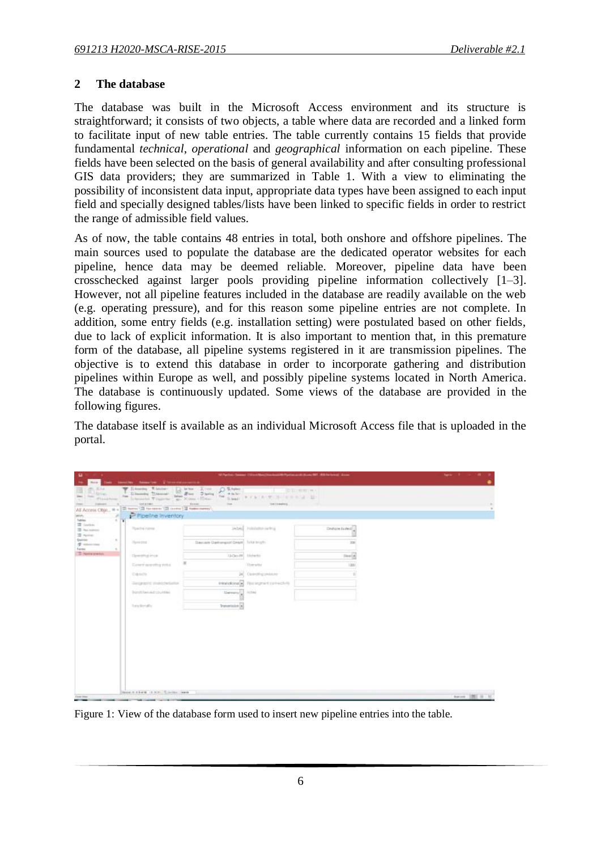#### <span id="page-5-0"></span>**2 The database**

The database was built in the Microsoft Access environment and its structure is straightforward; it consists of two objects, a table where data are recorded and a linked form to facilitate input of new table entries. The table currently contains 15 fields that provide fundamental *technical*, *operational* and *geographical* information on each pipeline. These fields have been selected on the basis of general availability and after consulting professional GIS data providers; they are summarized in Table 1. With a view to eliminating the possibility of inconsistent data input, appropriate data types have been assigned to each input field and specially designed tables/lists have been linked to specific fields in order to restrict the range of admissible field values.

As of now, the table contains 48 entries in total, both onshore and offshore pipelines. The main sources used to populate the database are the dedicated operator websites for each pipeline, hence data may be deemed reliable. Moreover, pipeline data have been crosschecked against larger pools providing pipeline information collectively [1–3]. However, not all pipeline features included in the database are readily available on the web (e.g. operating pressure), and for this reason some pipeline entries are not complete. In addition, some entry fields (e.g. installation setting) were postulated based on other fields, due to lack of explicit information. It is also important to mention that, in this premature form of the database, all pipeline systems registered in it are transmission pipelines. The objective is to extend this database in order to incorporate gathering and distribution pipelines within Europe as well, and possibly pipeline systems located in North America. The database is continuously updated. Some views of the database are provided in the following figures.

The database itself is available as an individual Microsoft Access file that is uploaded in the portal.

| ×<br><b>He</b><br><b>Book</b>                                                                                           | tion benche Addedue Virtuingssonne-                     |                                                                                                                                              | 14 Tarrison, Talasand, CSS and March How developed the model of a class (SST, SSS for leving). Accord- |                   | Network for the 2000 |
|-------------------------------------------------------------------------------------------------------------------------|---------------------------------------------------------|----------------------------------------------------------------------------------------------------------------------------------------------|--------------------------------------------------------------------------------------------------------|-------------------|----------------------|
| <b>BULKIN</b><br><b>A.T. Links</b><br>÷<br>m<br>of Link News<br><b>Alaska</b><br><b>DESCRIPTION</b><br>AE Accoss Obje . | W Elevens . Richmon<br><b>Case</b><br><b>CONTRACTOR</b> | C Shake<br>$\kappa_{\rm{ini}} \rightarrow \kappa_{\rm{b}} \gamma_{\rm{m}}$<br><b>State</b><br>22 Isana 123 Isanawa 123 Jawan 128 Kalendarian | <b>IDELIVERED</b><br>Steel P.C. P. D. William P. J. D.<br>TERT TILBARRING                              |                   |                      |
| late."<br>Sales                                                                                                         | P Pipeline Inventory<br>w<br>$\sim$                     |                                                                                                                                              |                                                                                                        |                   |                      |
| TE Gration<br>The Automotive<br>$\Xi$ with                                                                              | The Creative                                            |                                                                                                                                              | JADAL Patriotohanthuj                                                                                  | Draftone (unless) |                      |
| Countries 11.11<br>of constraint<br>Farms:                                                                              | $\pm$<br>There didn't<br>$\sim$                         | Dancaste Capitumgical Create: Tulta length-                                                                                                  |                                                                                                        | 226               |                      |
| To Newcastle Brown                                                                                                      | <b>BETH HISTORY</b><br><b>Committee</b>                 |                                                                                                                                              | Udolf Hinny                                                                                            | Steel #           |                      |
|                                                                                                                         | Turner possibly rides                                   |                                                                                                                                              | Therator                                                                                               | 1,851<br>$-$      |                      |
|                                                                                                                         | Custom                                                  |                                                                                                                                              | 24 Committee House                                                                                     | n                 |                      |
|                                                                                                                         | Despectic importants                                    |                                                                                                                                              | <b>International Processors</b> Communications                                                         |                   |                      |
|                                                                                                                         | Spotthanad crustae                                      |                                                                                                                                              | Servers   Little                                                                                       |                   |                      |
|                                                                                                                         | <b>Turn Bernalty</b>                                    | frayayining [a]                                                                                                                              |                                                                                                        |                   |                      |
|                                                                                                                         |                                                         |                                                                                                                                              |                                                                                                        |                   |                      |
| <b>Term Week</b>                                                                                                        | lease A-4 Lease Lt. H.H., Colorador Lisede              |                                                                                                                                              |                                                                                                        |                   | here: IN it it.      |

Figure 1: View of the database form used to insert new pipeline entries into the table.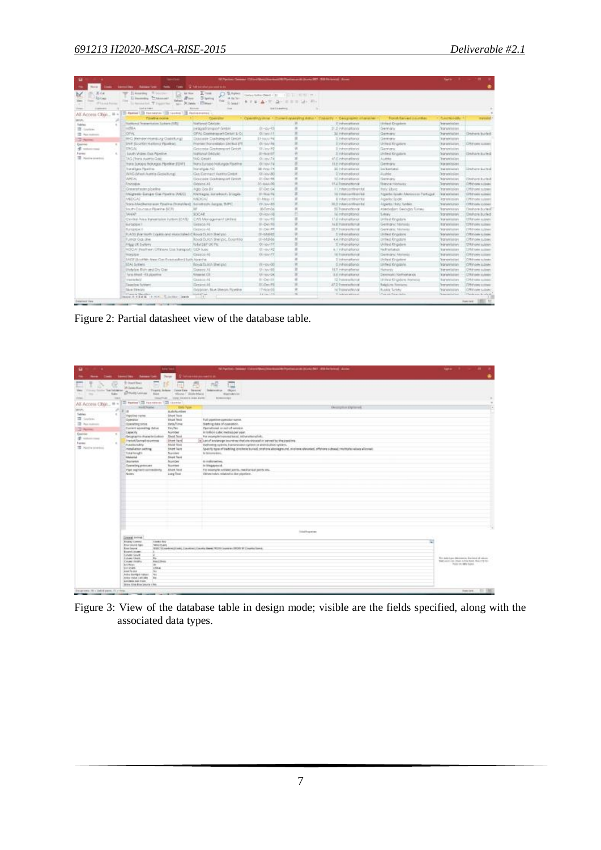| ٠                  |        | <b>Service</b>                                                                    |                                          |                            | 14 Parties: Selected 12 Electro Manufacturers (2011 Parties and Electro 2021 - 513 Electronic) - Annex |                                    |                                       |                                  | below the control of the   |
|--------------------|--------|-----------------------------------------------------------------------------------|------------------------------------------|----------------------------|--------------------------------------------------------------------------------------------------------|------------------------------------|---------------------------------------|----------------------------------|----------------------------|
| -                  |        | territor bearing to:<br><b>Tem</b>                                                | The four states are seen to do.          |                            |                                                                                                        |                                    |                                       |                                  |                            |
| <b>Kild</b>        |        | TOP ELECTRIC RESIDENCE<br><b>Ball Filling</b>                                     | $\Sigma$ line<br>$\n  5.14 km$           | Linker Sallon (Date 1 -11) | villa La recent con                                                                                    |                                    |                                       |                                  |                            |
| <b>Strings</b>     |        | El Henrichter T. Microsoft<br>$B \rightarrow 0$<br><b>Deltado</b><br><b>Class</b> | <b>District</b><br>$-4.0434$             |                            |                                                                                                        |                                    |                                       |                                  |                            |
| IF Likes & Roman   |        | To bender bill. "If Figger that                                                   | ALL DEDANN 1 ETAmeri<br>G. Search        |                            | A VALUE AND RESIDENCE AND RESIDENCE                                                                    |                                    |                                       |                                  |                            |
| ESSEAGO            |        | Link of Free                                                                      | <b>EXHIBIT</b>                           | TER TILBARING              |                                                                                                        |                                    |                                       |                                  |                            |
| AE Accoss Obje .   |        | To Paster 1.03 For nearer 1.03 Secretary 1.08 Federal entry 1.                    |                                          |                            |                                                                                                        |                                    |                                       |                                  |                            |
| and,               |        | Finalist normal                                                                   |                                          |                            | Oparating close in Conseil oparating status in Colomb                                                  | 4. El descrimidade antiquipe hab-  | free-old Chevrolet was widen          | - Ranchender                     |                            |
| Sabine             |        | National Texnetician Sodara (SB)                                                  | National Crisis                          |                            |                                                                                                        | <b>Cintervationed</b>              | <b>Eliminat Drawleys</b>              | Telephonical C                   |                            |
| TE Godow           |        | $-1514$                                                                           | ineducationshort families                | $20 - 24 + 43$             |                                                                                                        | 11.2 intrinogencia                 | Dentrony                              | Transmission                     |                            |
| The Age Automotive |        | <b>JOINE</b>                                                                      | OFAL Gormersont Gribal & OL              | $00 - 11$                  |                                                                                                        | 34 Intransitional                  | Gemmy                                 | <b>Dignomissions</b>             | <b>Drivers buded</b>       |
| <b>City</b>        |        | <b>BHS (Render Homburg Civilishurg)</b>                                           | Doluiale Dalhangiot Griph                | E1-local Rd                |                                                                                                        | SLIndmonialRendal                  | Gemenn                                | Transport institution            |                            |
| <b>Counsel</b>     | $\sim$ | WHY Scottles Hallmar Paperinks                                                    | Promiser Promotellation Literitizes (PT) | $30 - 44 + 56$             |                                                                                                        | STIMMING REPORT                    | Urilled fingstore                     | <b>Rankfoldion</b>               | Citiz cop comer            |
| di soloni con      |        | <b>ERGAL</b>                                                                      | Geicesta Germannt Gritzt                 | TELEVIATE                  |                                                                                                        | Il intercentivent                  | Germany                               | <b>Brankreissinni</b>            |                            |
| Fairman's          | $\sim$ | Louty Willes Date Privelive                                                       | Maltipold Gedrate                        | 31-face/07                 |                                                                                                        | 31 Milled all banals               | <b>Living Crusters</b>                | Telahwwitsblank                  | DARAW EUME                 |
| To Automobile      |        | 14G (front Austria Goa)                                                           | TAQ Gelalf                               | 01-84-74                   |                                                                                                        | il Einhangford                     | Austric                               | Transmission                     |                            |
|                    |        | Trunis Donogrip Holtungess Pignetinier (FEFIFE)                                   | Hurs Europe Holungen Piseline            | 00100419                   |                                                                                                        | <b>I B. P. In Minimum Plannish</b> | Geman                                 | Thian data Resident              |                            |
|                    |        | <b>For all takes Player Inc.</b>                                                  | Telefortigiate AG                        | SE-Ang-JK                  |                                                                                                        | 35 Intransitionial                 | <b>Includied</b>                      | Trainer famous                   | Drawing bured              |
|                    |        | WHO IWesh Autora Geologic Ave.                                                    | <b>ISAb Connect Avenu Crebit</b>         | 331-204-30L                |                                                                                                        | <b>Dinkstrations:</b>              | Author.                               | Tegnonicsian                     |                            |
|                    |        | WRDA:                                                                             | <b>Grecorie Grelmenauel Grouts</b>       | 01-Den-98                  |                                                                                                        | CD interview informati             | Generator                             | Television in the control of the | Deshare Instead            |
|                    |        | <b>Andriotical</b>                                                                | Donns A).                                | 01-4644-00                 |                                                                                                        | <b>ITA Transmitterial</b>          | <b>Tignos: Natway</b>                 | Transmission                     | DRIVING LOAN               |
|                    |        | Crewatere pickline                                                                | <b>Rafe: Got IIV</b>                     | 87-Det-04                  |                                                                                                        | IT interconfrents                  | <b>Inde Ubies</b>                     | fransnission                     | Different subset           |
|                    |        | Magnetic-Europe Gas Pizaline (ABG)                                                | ANTAgia, auraduary Iryania               | 31 Year Fe                 |                                                                                                        | CD Printed and Reserval            | Algeries Sciults Allo Google Perfuged | This workships                   | 12/10 today cultured       |
|                    |        | MEDGAZ                                                                            | <b>MEDICAZ</b>                           | 01-Malp-11                 |                                                                                                        | E VANCESPORTE                      | Aspekto Spide                         | <b>Transmission</b>              | DNA 1000 submet            |
|                    |        | Trans Adaptatory and Contract Theoretical Constitute Larger, TAPC.                |                                          | DE GALITE                  |                                                                                                        | 31.3 Interconfinantial             | Algeria Hoty Tunkin                   | <b>Televized suites</b>          | DRIF uses science          |
|                    |        | South Countaut Rowine SICR                                                        |                                          | 30-TrimOA                  |                                                                                                        | 55 Transmatterial                  | Atlenticable Checkgrap Tuksey         | <b>Terretrician</b>              | Deshare buried?            |
|                    |        | TAILINE                                                                           | SOCAE                                    | 30-leg / 10                |                                                                                                        | 14 Intrangiland                    | Tukay.                                | <b>Transmission</b>              | Druhore buried             |
|                    |        | Certain Area Tunesticion IV/Res: (CATC)                                           | CAS Management United                    | 30 Your #1                 |                                                                                                        | USE individual formal              | Listin of Chigatore                   | Teamerlistican                   | 13/km one sulpers          |
|                    |        | <b>KASODIAT</b>                                                                   | Departs All                              | III-DU-RE                  |                                                                                                        | 14.8 Patenterferrun                | Germany Motords                       | <b>Rankholmer</b>                | <b>CRIVING LOAN</b>        |
|                    |        | <b>Rungsball</b>                                                                  | Genes Al                                 | 31-Day/PE                  |                                                                                                        | TR.V Transportioned                | Gerwann, Nonsini                      | Teamorrismont                    | DRAvotei rulevan           |
|                    |        | IFLACO, IF OF HIGHTY COUNTIE ONE ANALYZZAND IT RELEASE CULTURAL STATES            |                                          | III-LABRE                  |                                                                                                        | D Intransitionals                  | Living Drawing                        | "Egris/elisation                 | <b>DRIFLORN GJOSH</b>      |
|                    |        | <b>Wulmich Grati Lifee</b>                                                        | Royal Dutch Shel pic, Countries          | <b>BI-Md-56</b>            |                                                                                                        | 4.4 Intrangitanar                  | <b>Limited Kingsburg</b>              | <b>Transveriestors</b>           | DYI/DM ILOM                |
|                    |        | Prized UK Systems                                                                 | TO BUILDING ON THE                       | <b>DE-BATT</b>             |                                                                                                        | D.Vilnavallana                     | <b>United Chades</b>                  | <b>Interventions</b>             | T2R/Frohd sulption         |
|                    |        | ROOM Pracher: Offdank Gla Sangrad: COF Supp                                       |                                          | <b>BEFORE</b>              |                                                                                                        | 4.1 Várunátlana                    | Netherlands                           | Transferred and Care             | 12/14 toke pulsers         |
|                    |        | <b>VIOYDES</b>                                                                    | <b>Cepsos 40</b>                         | <b>DESIGNATE</b>           |                                                                                                        | 14 Insurances                      | Gemond Moses                          | <b>Terroristici</b>              | Officion subset            |
|                    |        | 3ADF Bridge Aven Geriffstenstein Ballr Aventur                                    |                                          |                            |                                                                                                        | D. Indrama@larisid                 | <b><i>United Drighton</i></b>         | <b>Survivisioni</b>              | C/Refronted cultivates     |
|                    |        | STAL Subwit.                                                                      | Showed To Jerry Shwit pilot              | $70 - 104 - 001$           |                                                                                                        | 0.inframational                    | <b><i><u>Striked</u> Dreadply</i></b> | <b>Telanony Printings</b>        | Offingee Juliet            |
|                    |        | <b>Hotplow Rich and Dis Gar</b>                                                   | <b>Convey AL</b>                         | Uh-lov 65                  |                                                                                                        | H.T. Inthonationial                | <b>Hollyway</b>                       | <b>For enriquitors</b>           | Off from subwell           |
|                    |        | Turni Afred - El piperma                                                          | <b>Niverial CII</b>                      | <b>UE-Net-DK</b>           |                                                                                                        | 3.6 minumational                   | Dennislati foothunands.               | The systematic                   | 1253 juick suizan          |
|                    |        | <b>Washington</b>                                                                 | Gemico Al                                | 81-Day-88                  |                                                                                                        | 12 Instruments in                  | Lindig of Elhipsburg, Marketow        | tannon                           | <b>Childricks</b> suitable |
|                    |        | Taxellow Stream                                                                   | Dentros Al                               | ST-Oxx-75                  |                                                                                                        | AT 2-3 receivable to all           | <b>Balglure Neriums</b>               | <b>Scenariostian</b>             | T/FeFasee sustiness        |
|                    |        | <b>Stuart Streets</b>                                                             | Gozbion, Blue Streom Finalina            | T74406-05                  |                                                                                                        | M Transnichkow                     | <b>Russia Turini</b>                  | <b>Nanendosian</b>               | CRITION COM                |
|                    |        | All ages in The Allen                                                             |                                          | Automotive                 |                                                                                                        | The bank of adaptation and         | Plan into Room Hollan                 | The American Contributed         | Planderson, Incaderal.     |
| Delayment View     |        | <b>State A 4 Edit &amp; 19 Kin. Country James</b>                                 | $-21$                                    |                            |                                                                                                        |                                    |                                       |                                  | tue text. 1955 fr.         |

Figure 2: Partial datasheet view of the database table.

| ü                                                                                    |                                                                                                         | <b>Autor</b> Vessi                                                                                  | 141 Springs, Seissand, China of Manufillon Annibal Photograph (Edward SET - Still Defense) - Anna                              | <b>Santan Print</b><br>- 19                        |
|--------------------------------------------------------------------------------------|---------------------------------------------------------------------------------------------------------|-----------------------------------------------------------------------------------------------------|--------------------------------------------------------------------------------------------------------------------------------|----------------------------------------------------|
| ۰<br>-<br><b>Cash</b>                                                                | <b>Severites Associate</b>                                                                              | <b>Stratt</b>                                                                                       | hallula indale dos marché de de                                                                                                |                                                    |
| March.<br>Covers Source Test Indebtook<br><b>Adv</b><br>٠<br>m<br>man<br><b>DOM:</b> | \$1 (Foot Rive)<br>$\sim$<br><b>Children Room</b><br><b>Typey Johns</b><br><b>STANA Leikar</b><br>Neill | <b>Cancellona</b><br><b>January</b><br>100x00 - Divisio Marco<br>TRACTOR - TORE PAIDED EXIGE \$1000 | $-$<br>내<br><b>Chicago</b><br><b>Schennishus</b><br>Signidate int<br>\$5,000,000                                               |                                                    |
| AE Accoss Obje = =                                                                   | To Farmer 123 Fast manuals 123 Alustrian                                                                |                                                                                                     |                                                                                                                                |                                                    |
|                                                                                      | <b>COLL BARTHAN</b>                                                                                     | <b>OURS THOM</b>                                                                                    | Description Elgitorial                                                                                                         | T.                                                 |
| ante.<br>Sales                                                                       | <b>SE</b>                                                                                               | <b>Bulch</b> unklims                                                                                |                                                                                                                                |                                                    |
| ٠<br>TE Golve                                                                        | <b>Chairman</b>                                                                                         | Most Year.                                                                                          |                                                                                                                                |                                                    |
|                                                                                      | Control                                                                                                 | <b>Deal Text</b>                                                                                    | Tull plantine operator same.                                                                                                   |                                                    |
| The Age Automotive                                                                   | thousand pieces                                                                                         | tiets/filmer                                                                                        | Starting data of insurance.                                                                                                    |                                                    |
| <b>College Street</b>                                                                | Current seventing (Silve)                                                                               | Two <sup>rt</sup> er-                                                                               | Operational or suit-of-amount.                                                                                                 |                                                    |
| Courses.<br>$\sim$                                                                   | <b>Capach:</b>                                                                                          | <b>Auction</b><br><b>Short Text</b>                                                                 | at billion subic metres per year.<br>For expende transactional, informational ed.,                                             |                                                    |
| di sonome                                                                            | <b>Geographic characterization</b><br>trenstructured countries                                          | <b>Short light</b>                                                                                  | all just of severeign immetrec that else distance is served by the pipeline.                                                   |                                                    |
| Fairman's<br>$\sim$                                                                  | <b><i><u>Assistants</u></i></b>                                                                         | <b>Most Tool</b>                                                                                    | Balfrostra systems, Europeanaton system or distribution system.                                                                |                                                    |
| T Networks                                                                           | metallatoin selfing                                                                                     | <b>Short Terr</b>                                                                                   | Spanify type of badding involvers to riad, professorate reported, shockers showled, offshees subset invitorie values affermed. |                                                    |
|                                                                                      | Total tonutit                                                                                           | Runder                                                                                              | to billions less.                                                                                                              |                                                    |
|                                                                                      | Wetenial                                                                                                | <b>Doort Taxe</b>                                                                                   |                                                                                                                                |                                                    |
|                                                                                      | Unalierten                                                                                              | Mulmber                                                                                             | to conferencings.                                                                                                              |                                                    |
|                                                                                      | <b>Geneting</b> process                                                                                 | <b>Superings</b>                                                                                    | to timpgeneral.                                                                                                                |                                                    |
|                                                                                      | Inge segment someobery                                                                                  | <b>Short Year</b>                                                                                   | Fix scoripte weided parts, reed and significant.                                                                               |                                                    |
|                                                                                      | <b>Holland</b>                                                                                          | Long Tour                                                                                           | Other index related to the pipeline.                                                                                           |                                                    |
|                                                                                      |                                                                                                         |                                                                                                     |                                                                                                                                |                                                    |
|                                                                                      |                                                                                                         |                                                                                                     |                                                                                                                                |                                                    |
|                                                                                      |                                                                                                         |                                                                                                     | <b><i><u>India Engelse</u></i></b>                                                                                             |                                                    |
|                                                                                      | Grand looks.                                                                                            |                                                                                                     |                                                                                                                                |                                                    |
|                                                                                      | <b>Bridge Lames</b><br><b>Edenburghous</b><br><b>River Initial of Dates</b><br><b>WHICHIS</b>           |                                                                                                     |                                                                                                                                |                                                    |
|                                                                                      | <b>Englisher</b>                                                                                        |                                                                                                     | \$\$0 Lorentators (autor) (auto hand NOS (autor) SOS # [auto lord.                                                             |                                                    |
|                                                                                      | <b>Busidizion</b>                                                                                       |                                                                                                     |                                                                                                                                |                                                    |
|                                                                                      | Cylum Court<br><b>Column Healt</b>                                                                      |                                                                                                     |                                                                                                                                | This details are determined from this of values.   |
|                                                                                      | <b>Institute</b><br>Locald Scott's                                                                      |                                                                                                     |                                                                                                                                | THAT you'll claim childle the field. Wenn \$1.000. |
|                                                                                      | Schliffstatt<br>15km                                                                                    |                                                                                                     |                                                                                                                                | Police city data future.                           |
|                                                                                      | antichet.<br>Josef To Jim<br>in c                                                                       |                                                                                                     |                                                                                                                                |                                                    |
|                                                                                      | Arthur Munited Values<br>741                                                                            |                                                                                                     |                                                                                                                                |                                                    |
|                                                                                      | William Higher Link Lights<br>m<br>Annibers East Form                                                   |                                                                                                     |                                                                                                                                |                                                    |
|                                                                                      | Mike Olde Rive Smith's VRA                                                                              |                                                                                                     |                                                                                                                                |                                                    |
| December 26 x Saltile panel, 71 y 1959.                                              |                                                                                                         |                                                                                                     |                                                                                                                                | Fee by  (2) 1857                                   |

Figure 3: View of the database table in design mode; visible are the fields specified, along with the associated data types.